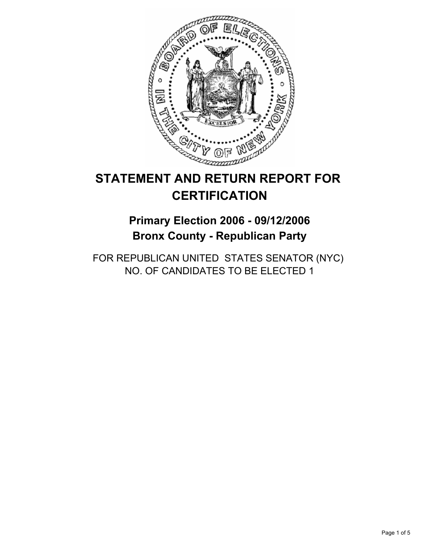

# **STATEMENT AND RETURN REPORT FOR CERTIFICATION**

## **Primary Election 2006 - 09/12/2006 Bronx County - Republican Party**

FOR REPUBLICAN UNITED STATES SENATOR (NYC) NO. OF CANDIDATES TO BE ELECTED 1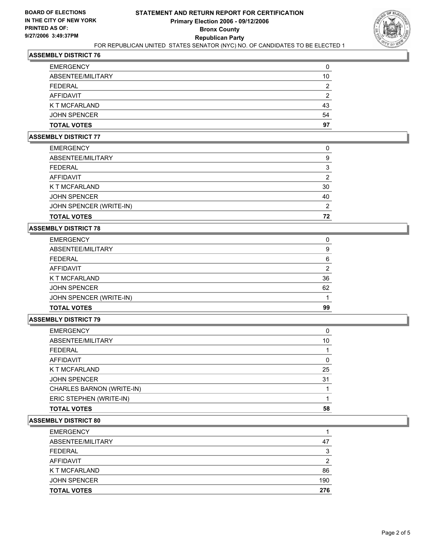

## **ASSEMBLY DISTRICT 76**

| 10 |
|----|
| າ  |
| ◠  |
| 43 |
| 54 |
| 97 |
|    |

#### **ASSEMBLY DISTRICT 77**

| <b>TOTAL VOTES</b>      | 72 |
|-------------------------|----|
| JOHN SPENCER (WRITE-IN) | רי |
| <b>JOHN SPENCER</b>     | 40 |
| K T MCFARLAND           | 30 |
| AFFIDAVIT               |    |
| FEDERAL                 |    |
| ABSENTEE/MILITARY       | g  |
| <b>EMERGENCY</b>        |    |

## **ASSEMBLY DISTRICT 78**

| <b>EMERGENCY</b>        |    |
|-------------------------|----|
| ABSENTEE/MILITARY       | 9  |
| <b>FEDERAL</b>          | 6  |
| <b>AFFIDAVIT</b>        |    |
| K T MCFARLAND           | 36 |
| <b>JOHN SPENCER</b>     | 62 |
| JOHN SPENCER (WRITE-IN) |    |
| <b>TOTAL VOTES</b>      | 99 |

### **ASSEMBLY DISTRICT 79**

| <b>EMERGENCY</b>          |    |
|---------------------------|----|
| ABSENTEE/MILITARY         | 10 |
| FEDERAL                   |    |
| AFFIDAVIT                 |    |
| K T MCFARLAND             | 25 |
| <b>JOHN SPENCER</b>       | 31 |
| CHARLES BARNON (WRITE-IN) |    |
| ERIC STEPHEN (WRITE-IN)   |    |
| TOTAL VOTES               | 58 |

#### **ASSEMBLY DISTRICT 80**

| <b>TOTAL VOTES</b>  | 276 |
|---------------------|-----|
| <b>JOHN SPENCER</b> | 190 |
| K T MCFARLAND       | 86  |
| AFFIDAVIT           |     |
| <b>FEDERAL</b>      | ິ   |
| ABSENTEE/MILITARY   | 47  |
| <b>EMERGENCY</b>    |     |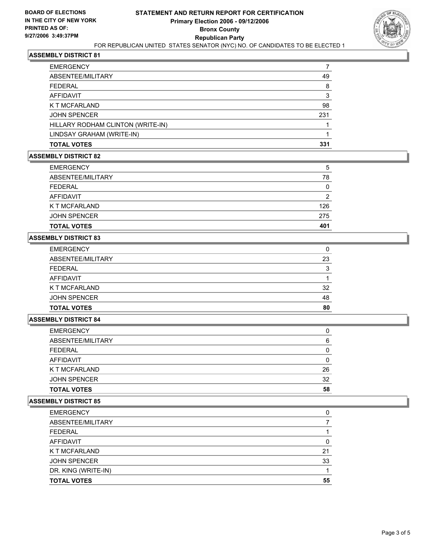

## **ASSEMBLY DISTRICT 81**

| <b>EMERGENCY</b>                  |     |
|-----------------------------------|-----|
| ABSENTEE/MILITARY                 | 49  |
| <b>FEDERAL</b>                    | 8   |
| <b>AFFIDAVIT</b>                  | 3   |
| K T MCFARLAND                     | 98  |
| <b>JOHN SPENCER</b>               | 231 |
| HILLARY RODHAM CLINTON (WRITE-IN) |     |
| LINDSAY GRAHAM (WRITE-IN)         |     |
| <b>TOTAL VOTES</b>                | 331 |

## **ASSEMBLY DISTRICT 82**

| <b>TOTAL VOTES</b>  | 401 |
|---------------------|-----|
| <b>JOHN SPENCER</b> | 275 |
| K T MCFARLAND       | 126 |
| AFFIDAVIT           |     |
| FEDERAL             |     |
| ABSENTEE/MILITARY   | 78  |
| <b>EMERGENCY</b>    | b   |

## **ASSEMBLY DISTRICT 83**

| <b>EMERGENCY</b>    |    |
|---------------------|----|
| ABSENTEE/MILITARY   | 23 |
| <b>FEDERAL</b>      | ິ  |
| AFFIDAVIT           |    |
| K T MCFARLAND       | 32 |
| <b>JOHN SPENCER</b> | 48 |
| <b>TOTAL VOTES</b>  | 80 |

#### **ASSEMBLY DISTRICT 84**

| <b>EMERGENCY</b>     |    |
|----------------------|----|
| ABSENTEE/MILITARY    | 6  |
| <b>FEDERAL</b>       |    |
| <b>AFFIDAVIT</b>     |    |
| <b>K T MCFARLAND</b> | 26 |
| <b>JOHN SPENCER</b>  | 32 |
| <b>TOTAL VOTES</b>   | 58 |

## **ASSEMBLY DISTRICT 85**

| <b>EMERGENCY</b>    |    |
|---------------------|----|
| ABSENTEE/MILITARY   |    |
| <b>FEDERAL</b>      |    |
| AFFIDAVIT           |    |
| K T MCFARLAND       | 21 |
| <b>JOHN SPENCER</b> | 33 |
| DR. KING (WRITE-IN) |    |
| <b>TOTAL VOTES</b>  | 55 |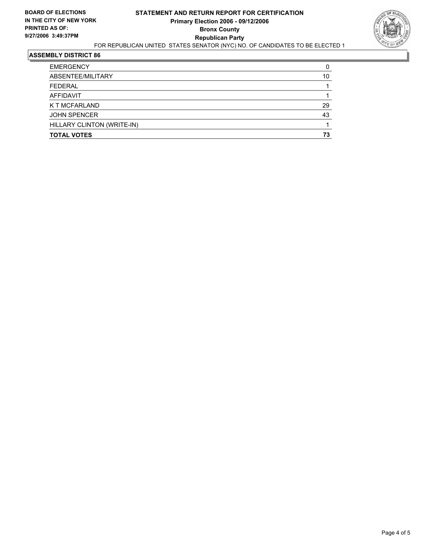

## **ASSEMBLY DISTRICT 86**

| <b>TOTAL VOTES</b>         | 73 |
|----------------------------|----|
| HILLARY CLINTON (WRITE-IN) |    |
| <b>JOHN SPENCER</b>        | 43 |
| K T MCFARLAND              | 29 |
| AFFIDAVIT                  |    |
| <b>FEDERAL</b>             |    |
| ABSENTEE/MILITARY          | 10 |
| <b>EMERGENCY</b>           |    |